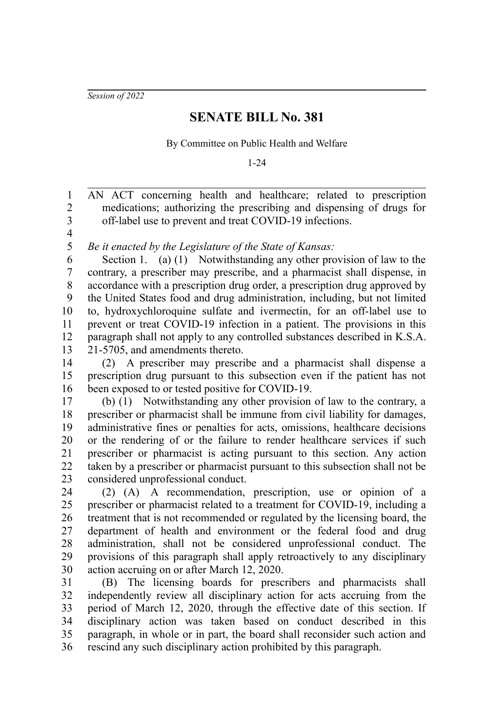*Session of 2022*

## **SENATE BILL No. 381**

By Committee on Public Health and Welfare

1-24

AN ACT concerning health and healthcare; related to prescription medications; authorizing the prescribing and dispensing of drugs for off-label use to prevent and treat COVID-19 infections. 1 2 3

4 5

*Be it enacted by the Legislature of the State of Kansas:*

Section 1. (a) (1) Notwithstanding any other provision of law to the contrary, a prescriber may prescribe, and a pharmacist shall dispense, in accordance with a prescription drug order, a prescription drug approved by the United States food and drug administration, including, but not limited to, hydroxychloroquine sulfate and ivermectin, for an off-label use to prevent or treat COVID-19 infection in a patient. The provisions in this paragraph shall not apply to any controlled substances described in K.S.A. 21-5705, and amendments thereto. 6 7 8 9 10 11 12 13

(2) A prescriber may prescribe and a pharmacist shall dispense a prescription drug pursuant to this subsection even if the patient has not been exposed to or tested positive for COVID-19. 14 15 16

(b) (1) Notwithstanding any other provision of law to the contrary, a prescriber or pharmacist shall be immune from civil liability for damages, administrative fines or penalties for acts, omissions, healthcare decisions or the rendering of or the failure to render healthcare services if such prescriber or pharmacist is acting pursuant to this section. Any action taken by a prescriber or pharmacist pursuant to this subsection shall not be considered unprofessional conduct. 17 18 19 20 21 22 23

(2) (A) A recommendation, prescription, use or opinion of a prescriber or pharmacist related to a treatment for COVID-19, including a treatment that is not recommended or regulated by the licensing board, the department of health and environment or the federal food and drug administration, shall not be considered unprofessional conduct. The provisions of this paragraph shall apply retroactively to any disciplinary action accruing on or after March 12, 2020. 24 25 26 27 28 29 30

(B) The licensing boards for prescribers and pharmacists shall independently review all disciplinary action for acts accruing from the period of March 12, 2020, through the effective date of this section. If disciplinary action was taken based on conduct described in this paragraph, in whole or in part, the board shall reconsider such action and rescind any such disciplinary action prohibited by this paragraph. 31 32 33 34 35 36